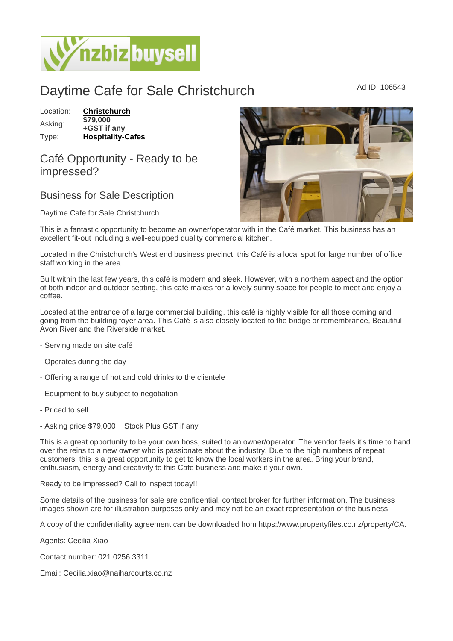## Daytime Cafe for Sale Christchurch Mad ID: 106543

Location: [Christchurch](https://www.nzbizbuysell.co.nz/businesses-for-sale/location/Christchurch) Asking: \$79,000 +GST if any Type: [Hospitality-Cafes](https://www.nzbizbuysell.co.nz/businesses-for-sale/Cafes/New-Zealand)

## Café Opportunity - Ready to be impressed?

## Business for Sale Description

Daytime Cafe for Sale Christchurch

This is a fantastic opportunity to become an owner/operator with in the Café market. This business has an excellent fit-out including a well-equipped quality commercial kitchen.

Located in the Christchurch's West end business precinct, this Café is a local spot for large number of office staff working in the area.

Built within the last few years, this café is modern and sleek. However, with a northern aspect and the option of both indoor and outdoor seating, this café makes for a lovely sunny space for people to meet and enjoy a coffee.

Located at the entrance of a large commercial building, this café is highly visible for all those coming and going from the building foyer area. This Café is also closely located to the bridge or remembrance, Beautiful Avon River and the Riverside market.

- Serving made on site café
- Operates during the day
- Offering a range of hot and cold drinks to the clientele
- Equipment to buy subject to negotiation
- Priced to sell
- Asking price \$79,000 + Stock Plus GST if any

This is a great opportunity to be your own boss, suited to an owner/operator. The vendor feels it's time to hand over the reins to a new owner who is passionate about the industry. Due to the high numbers of repeat customers, this is a great opportunity to get to know the local workers in the area. Bring your brand, enthusiasm, energy and creativity to this Cafe business and make it your own.

Ready to be impressed? Call to inspect today!!

Some details of the business for sale are confidential, contact broker for further information. The business images shown are for illustration purposes only and may not be an exact representation of the business.

A copy of the confidentiality agreement can be downloaded from https://www.propertyfiles.co.nz/property/CA.

Agents: Cecilia Xiao

Contact number: 021 0256 3311

Email: Cecilia.xiao@naiharcourts.co.nz